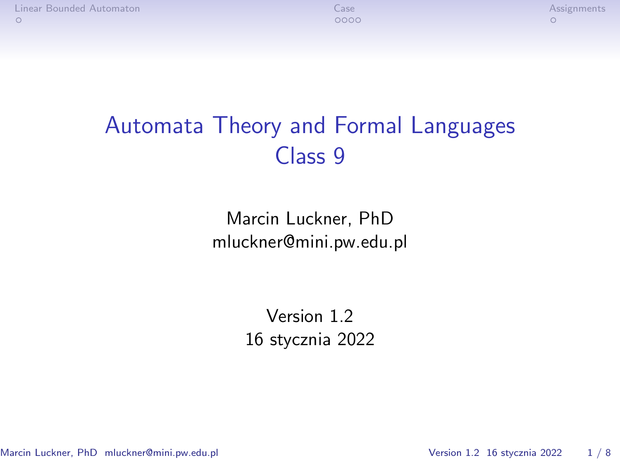# Automata Theory and Formal Languages Class 9

Marcin Luckner, PhD mluckner@mini.pw.edu.pl

> Version 1.2 16 stycznia 2022

Marcin Luckner, PhD mluckner@mini.pw.edu.pl Version 1.2 16 stycznia 2022 1 / 8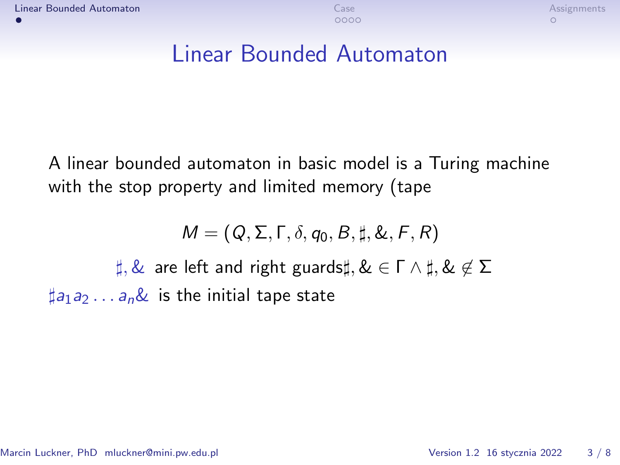### <span id="page-1-0"></span>Linear Bounded Automaton

A linear bounded automaton in basic model is a Turing machine with the stop property and limited memory (tape

$$
M = (Q, \Sigma, \Gamma, \delta, q_0, B, \sharp, \&, F, R)
$$

*],* & are left and right guards*],* & *∈* Γ *∧ ],* & *6∈* Σ  $\sharp$ a<sub>1</sub>a<sub>2</sub> . . . a<sub>n</sub>& is the initial tape state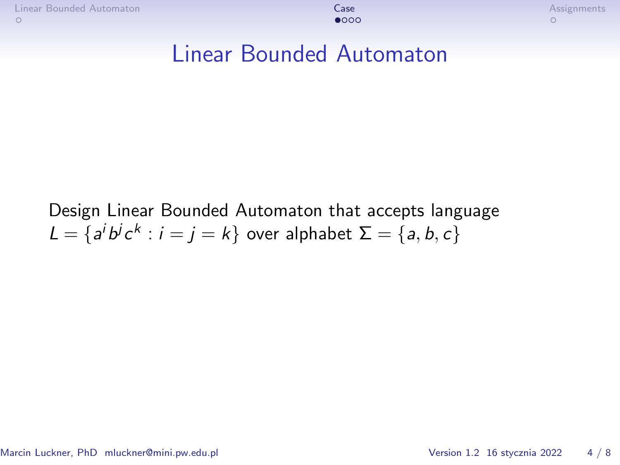#### <span id="page-2-0"></span>Linear Bounded Automaton

Design Linear Bounded Automaton that accepts language  $L = \{a^i b^j c^k : i = j = k\}$  over alphabet  $\Sigma = \{a, b, c\}$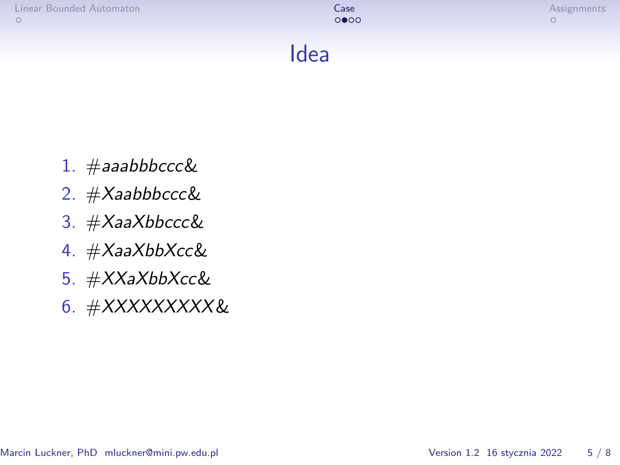| Linear Bounded Automaton | Case<br>0000 | Assignments |
|--------------------------|--------------|-------------|
|                          | Idea         |             |

- 1. #aaabbbccc&
- 2. #Xaabbbccc&
- 3. #XaaXbbccc&
- 4. #XaaXbbXcc&
- 5. #XXaXbbXcc&
- 6. #XXXXXXXXX&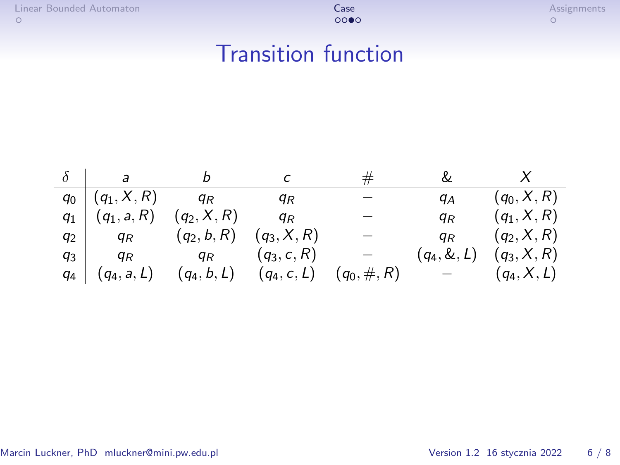### Transition function

|       | $\overline{a}$                    |               |                             | #              | &     |                               |
|-------|-----------------------------------|---------------|-----------------------------|----------------|-------|-------------------------------|
|       | $q_0   (q_1, X, R)$               | $q_R$         | ЧR                          |                | qА    | $(q_0, X, R)$                 |
|       | $q_1$ $(q_1, a, R)$ $(q_2, X, R)$ |               | $q_R$                       |                | qк    | $(q_1, X, R)$                 |
| $q_2$ | $q_R$                             | $(q_2, b, R)$ | $(q_3, X, R)$               |                | $q_R$ | $(q_2, X, R)$                 |
| $q_3$ | $q_R$                             | $q_R$         | $(q_3, c, R)$               |                |       | $(q_4, \& , L)$ $(q_3, X, R)$ |
| 94    | $(q_4, a, L)$                     |               | $(q_4, b, L)$ $(q_4, c, L)$ | $(q_0, \#, R)$ |       | $(q_4, X, L)$                 |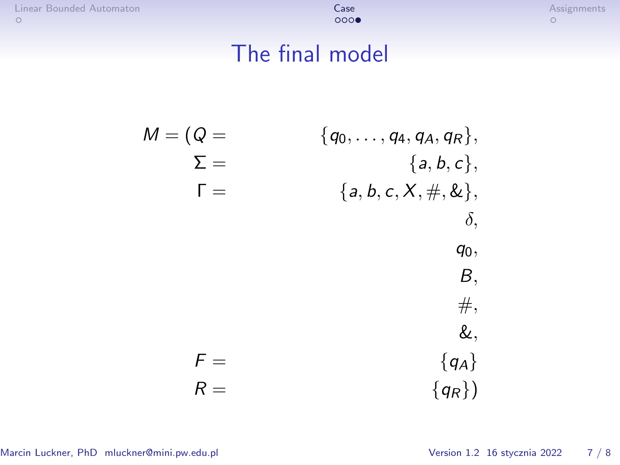[Linear Bounded Automaton](#page-1-0) [Case](#page-2-0) [Assignments](#page-6-0)

## The final model

M = (Q = *{*q0*, . . . ,* q4*,* qA*,* qR*},* Σ = *{*a*,* b*,* c*},* Γ = *{*a*,* b*,* c*,* X*,* #*,* &*}, δ,* q0*,* B*,* #*,* &*,* F = *{*qA*}* R = *{*qR*}*)